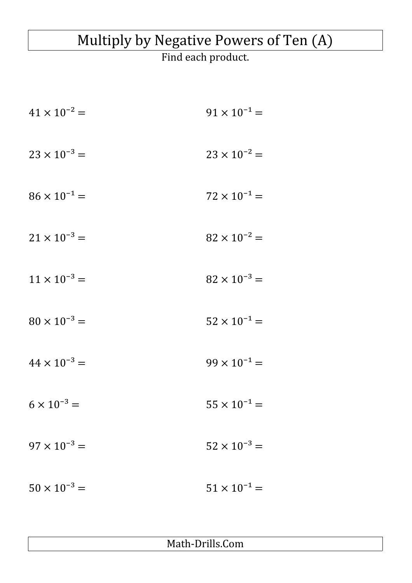## Multiply by Negative Powers of Ten (A)

Find each product.

| $41 \times 10^{-2} =$ | $91 \times 10^{-1} =$ |
|-----------------------|-----------------------|
| $23 \times 10^{-3} =$ | $23 \times 10^{-2} =$ |
| $86 \times 10^{-1} =$ | $72 \times 10^{-1} =$ |
| $21 \times 10^{-3} =$ | $82 \times 10^{-2} =$ |
| $11 \times 10^{-3} =$ | $82 \times 10^{-3} =$ |
| $80 \times 10^{-3} =$ | $52 \times 10^{-1} =$ |
| $44 \times 10^{-3} =$ | $99 \times 10^{-1} =$ |
| $6 \times 10^{-3} =$  | $55 \times 10^{-1} =$ |
| $97 \times 10^{-3} =$ | $52 \times 10^{-3} =$ |
| $50 \times 10^{-3} =$ | $51 \times 10^{-1} =$ |

Math-Drills.Com